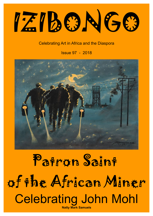IZIBONGO

#### Celebrating Art in Africa and the Diaspora

Issue 97 - 2018



### Patron Saint of the African Miner Celebrating John Mohl **Natty Mark Samuels**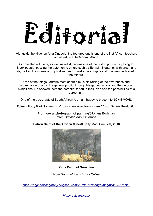# Editorial

Alongside the Nigerian Aina Onabolu, the featured one is one of the first African teachers of fine art, in sub-Saharan Africa.

A committed educator, as well as artist, he was one of the first to portray city living for Black people, passing the baton on to others such as Ephraim Ngatane. With brush and oils, he told the stories of Sophiatown and Soweto: paragraphs and chapters dedicated to the miners.

One of the things I admire most about him, is his raising of the awareness and appreciation of art to the general public, through his garden school and the outdoor exhibitions. He showed them the potential for art in their lives and the possibilities of a career in it.

One of the true greats of South African Art, I am happy to present to JOHN MOHL.

**Editor – Natty Mark Samuels – africanschool.weebly.com – An African School Production**

**Front cover photograph of painting©**Johans Borhman **from** *Out and About in Africa*

**Patron Saint of the African Miner©**Natty Mark Samuels**, 2018**



**Only Patch of Sunshine**

**from** *South African History Online*

*<https://reggaediscography.blogspot.com/2018/01/izibongo-magazine-2018.html>*

*<http://rastaites.com/>*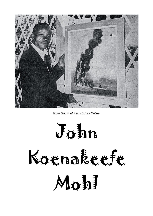

**from** *South African History Online*

John

## Koenakeefe Mohl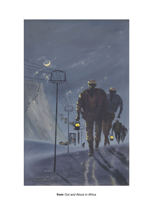

**from** *Out and About in Africa*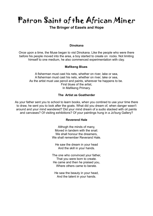Patron Saint of the African Miner

#### **The Bringer of Easels and Hope**

#### **Dinokana**

Once upon a time, the Muse began to vist Dinokana. Like the people who were there before his people moved into the area, a boy started to create on rocks. Not limiting himself to one medium, he also commenced experimentation with clay.

#### **Mafikeng Blues**

A fisherman must cast his nets, whether on river, lake or sea, A fisherman must cast his nets, whether on river, lake or sea, As the artist must use pencil and paints, wherever he happens to be. First blues of the artist, In Mafikeng Primary.

#### **The Artist as Goatherder**

As your father sent you to school to learn books, when you contined to use your time there to draw, he sent you to look after the goats. What did you dream of, when danger wasn't around and your mind wandered? Did your mind dream of a sudio stacked with oil paints and canvases? Of visiting exhibitions? Of your paintings hung in a Jo'burg Gallery?

#### **Reverend Hale**

Althogh the minds of many, Moved in tandem with the snail. We shall honour the dreamers We shall remember Reverand Hale.

He saw the dream in your head And the skill in your hands.

The one who convinced your father, That you were born to create. He came and then he praised you, Where others came to berate.

He saw the beauty in your head, And the talent in your hands.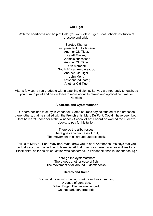#### **Old Tiger**

With the heartiness and help of Hale, you went off to Tiger Kloof School: institution of prestige and pride.

> Seretse Khama, First president of Botswana, Another Old Tiger. Quett Masire, Khama's successor, Another Old Tiger. Ruth Mompati, South African Ambassador, Another Old Tiger. John Mohl, Artist and educator, Another Old Tiger.

After a few years you graduate with a teaching diploma. But you are not ready to teach, as you burn to paint and desire to learn more about its mixing and application: time for Namibia.

#### **Albatross and Oystercatcher**

Our hero decides to study in Windhoek. Some sources say he studied at the art school there; others, that he studied with the French artist Mary Du Pont. Could it have been both, that he learnt under her at the Windhoek School of Art. I heard he worked the Luderitz docks, to pay for his tuition.

> There go the allbatrosses, There goes another case of fruit; The movement of all around Luderitz dock.

Tell us of Mary du Pont. Why her? What drew you to her? Another source says that you actually accopompanied her to Namibia. At that time, was there more possibilities for a Black artist, as far as art education was concerned, in Windhoek, than in Johannesburg?

> There go the oystercatchers, There goes another case of fish: The movement of all around Luderitz docks.

#### **Herero and Nama**

You must have known what Shark Island was used for, A venue of genocide. When Eugen Fischer was funded, On that dark perverted ride.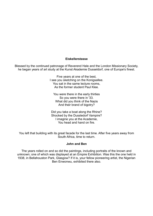#### **Eiskellerstasse**

Blessed by the continued patronage of Reverend Hale and the London Missionary Society, he began years of art study at the Kunst Akademie Dusseldorf, one of Europe's finest.

> Five years at one of the best, I see you sketching on the Konigsallee. You sat in the same lecture rooms, As the former student Paul Klee.

You were there in the early thirties So you were there in '33. What did you think of the Nazis And their brand of bigotry?

Did you take a boat along the Rhine? Shocked by the Dussledorf Vampire? I imagine you at the Academie, You head and hand on fire.

You left that building with its great facade for the last time. After five years away from South Africa, time to return.

#### **John and Ben**

The years rolled on and so did the paintings, including portraits of the known and unknown; one of which was displayed at an Empire Exhibition. Was this the one held in 1938, in Bellahouston Park, Glasgow? If it is, your fellow pioneering artist, the Nigerian Ben Enwonwu, exhibited there also.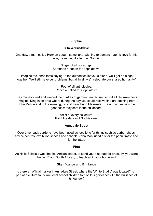#### **Sophia**

#### **to Trevor Huddelston**

One day, a man called Herman bought some land; wishing to demonstrate his love for his wife, he named it after her: Sophia.

> Singer of all our songs, Serenade a paean for Sophiatown.

I imagine the inhabitants saying ''If the authorities leave us alone, we'll get on alright together. We'll still have our problems, but all in all, we'll celebrate our shared humanity.''

> Poet of all anthologies, Recite a ballad for Sophiatown

They manevoured and jumped the hurdles of gargantuan racism, to find a little sweetness. Imagine living in an area where during the day you could receive fine art teaching from John Mohl – and in the evening, go and hear Hugh Masekela. The authorities saw the goodness: they sent in the bulldozers.

> Artist of every collective, Paint the dance of Sophiatown.

#### **Annadale Street**

Over time, back gardens have been used as locations for things such as barber shops, advice centres, exhibition spaces and schools: John Mohl used his for the penultimate and for the latter

#### **First**

As Haile Selassie was the first African leader, to send youth abroad for art study, you were the first Black South African, to teach art in your homeland.

#### **Significance and Brilliance**

Is there an official marker in Annadale Street, where the 'White Studio' was located? Is it part of a culture tour? Are local school children told of its significance? Of the brilliance of its founder?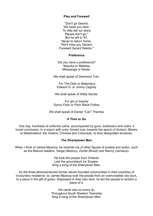#### **Plea and Farewell**

''Don't go Gerard, We need you here. To help tell our story: Please don't go.'' But he left in '47, Never to return home. ''We'll miss you Gerard, Farewell Gerard Sekoto.''

#### **Preference**

Did you have a preference? Masuka or Makeba, Mbaqanga or Kewla.

We shall speak of Desmond Tutu.

 For The Odin or Balanskys Edward G. or Jimmy Cagney

We shall speak of Wally Serote

For gin or brandy Synco Fans or Pitch Black Follies

We shall speak of Daniel "Can" Themba

#### **A Time to Go**

One day, hundreds of uniforms came, accompanied by guns, bulldozers and clubs; a brutal conclusion, to a sojorn with unity; forced now, towards the epoch of division. Blacks to Meadowland; the Indians, Chinese and Coloureds, to their designated enclaves.

#### **The Shantytown Man**

When I think of James Mpanza, he reminds me of other figures of protest and action, such as the Maroon leaders, Yanga (Mexico), Zumbi (Brazil) and Nanny (Jamaica).

> He took the people from Orlando Laid the groundwork for Soweto: Sing a song of the Shanytown Man.

As the three aforementioned former slaves founded communities in their countries of involuntary residence, so James Mpanza took the people from an overcrowded city slum, to a place in the gift of green. Dispossed in their own land, he led the people to reclaim a piece of it.

> His name was on every lip, Throughout South Western Township: Sing a song of the Shantytown Man.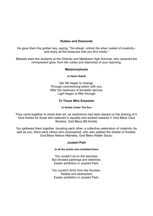#### **Rubies and Diamonds**

He gave them the golden key, saying, ''Go ahead, unlock the silver casket of creativity and enjoy all the treasures that you find inside.''

Blessed were the students at the Orlando and Madibane High Schools, who received the omnipresent glow, from the rubies and diamonds of your teaching.

#### **Metamorphosis**

#### **to Helen Sebidi**

Her life began to change, Through commencing tuition with you. After the darkness of domestic service, Light began to filter through.

#### **To Those Who Empower**

#### **to Artists Under The Sun**

They came together to share their art, as restrictions had been placed on the sharing of it. Give thanks for those who believed in equality and worked towards it. God Bless Cecil Skotnes, God Bless Bill Ainslie.

You gathered them together, boosting each other, a collective celebration of creativity. As well as you, there were others who empowered, who also walked the streets of Soweto: God Bless Nelson Mandela, God Bless Walter Sisulu.

#### **Joubert Park**

#### **to all the artists who exhibited there**

You couldn't sit on the benches, But showed paintings and sketches: Easter exhibition in Joubert Park.

You couldn't drink from the fountain, Realist and abstraction: Easter exhibiiton in Joubert Park.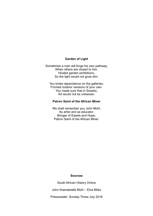#### **Garden of Light**

Sometimes a man will forge his own pathway, When others are closed to him. Hosted garden exhibitions, So the light would not grow dim.

You broke dependence on the galleries, Formed outdoor versions of your own. You made sure that in Soweto, Art would not be unkwown.

#### **Patron Saint of the African Miner**

We shall remember you John Mohl, As artist and as educator. Bringer of Easels and Hope, Patron Saint of the African Miner.

#### **Sources**

South African History Online

John Koenakeefe Mohl – Elza Miles

Pressreader: Sunday Times July 2016